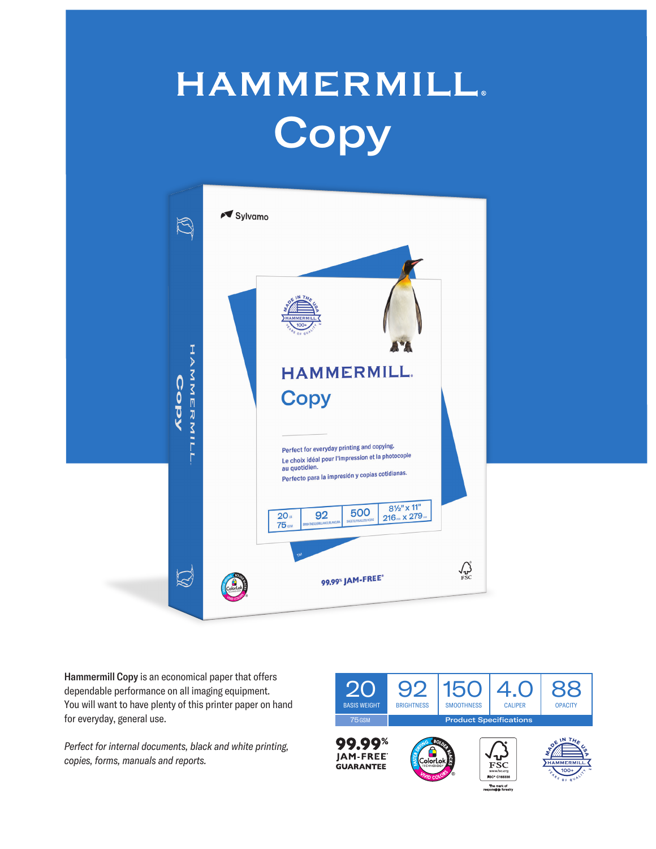## **HAMMERMILL. Copy**



Hammermill Copy is an economical paper that offers dependable performance on all imaging equipment. You will want to have plenty of this printer paper on hand for everyday, general use.

*Perfect for internal documents, black and white printing, copies, forms, manuals and reports.*